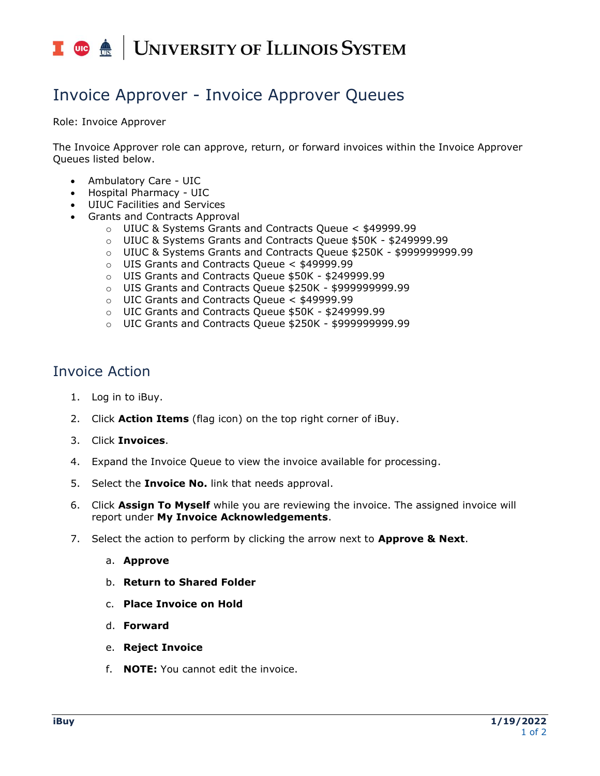## I **C**  $\triangle$  UNIVERSITY OF ILLINOIS SYSTEM

## Invoice Approver - Invoice Approver Queues

Role: Invoice Approver

The Invoice Approver role can approve, return, or forward invoices within the Invoice Approver Queues listed below.

- Ambulatory Care UIC
- Hospital Pharmacy UIC
- UIUC Facilities and Services
- Grants and Contracts Approval
	- o UIUC & Systems Grants and Contracts Queue < \$49999.99
	- o UIUC & Systems Grants and Contracts Queue \$50K \$249999.99
	- o UIUC & Systems Grants and Contracts Queue \$250K \$999999999.99
	- o UIS Grants and Contracts Queue < \$49999.99
	- o UIS Grants and Contracts Queue \$50K \$249999.99
	- o UIS Grants and Contracts Queue \$250K \$999999999.99
	- o UIC Grants and Contracts Queue < \$49999.99
	- o UIC Grants and Contracts Queue \$50K \$249999.99
	- o UIC Grants and Contracts Queue \$250K \$999999999.99

## Invoice Action

- 1. Log in to iBuy.
- 2. Click **Action Items** (flag icon) on the top right corner of iBuy.
- 3. Click **Invoices**.
- 4. Expand the Invoice Queue to view the invoice available for processing.
- 5. Select the **Invoice No.** link that needs approval.
- 6. Click **Assign To Myself** while you are reviewing the invoice. The assigned invoice will report under **My Invoice Acknowledgements**.
- 7. Select the action to perform by clicking the arrow next to **Approve & Next**.
	- a. **Approve**
	- b. **Return to Shared Folder**
	- c. **Place Invoice on Hold**
	- d. **Forward**
	- e. **Reject Invoice**
	- f. **NOTE:** You cannot edit the invoice.